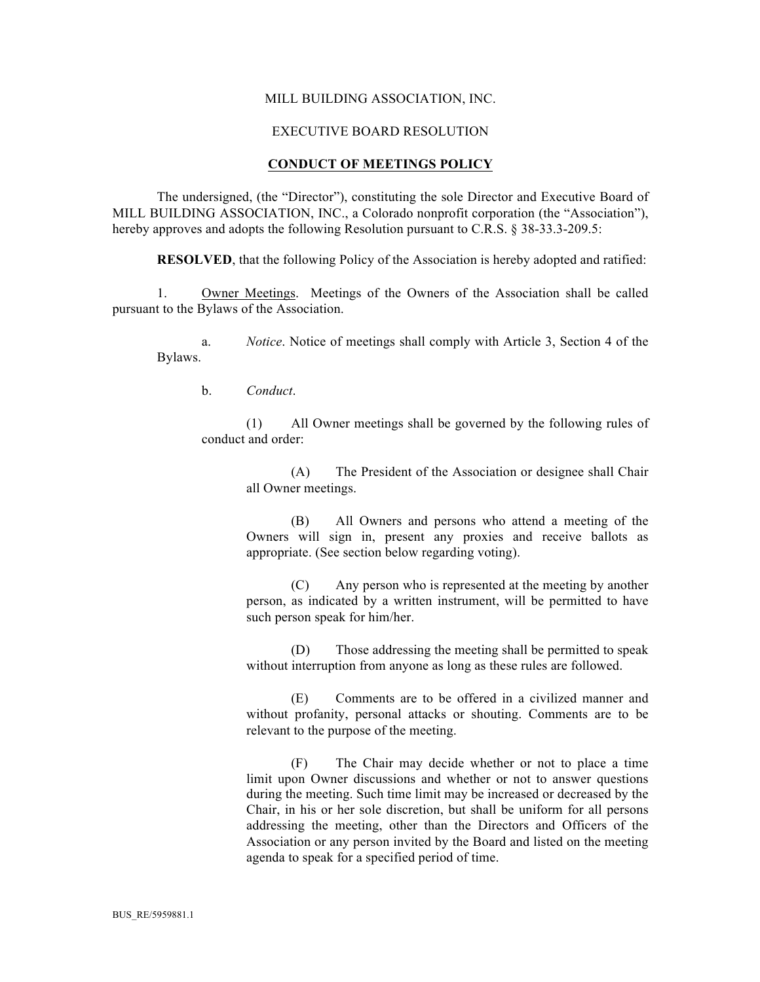## MILL BUILDING ASSOCIATION, INC.

## EXECUTIVE BOARD RESOLUTION

## **CONDUCT OF MEETINGS POLICY**

The undersigned, (the "Director"), constituting the sole Director and Executive Board of MILL BUILDING ASSOCIATION, INC., a Colorado nonprofit corporation (the "Association"), hereby approves and adopts the following Resolution pursuant to C.R.S. § 38-33.3-209.5:

**RESOLVED**, that the following Policy of the Association is hereby adopted and ratified:

1. Owner Meetings. Meetings of the Owners of the Association shall be called pursuant to the Bylaws of the Association.

a. *Notice*. Notice of meetings shall comply with Article 3, Section 4 of the Bylaws.

b. *Conduct*.

(1) All Owner meetings shall be governed by the following rules of conduct and order:

(A) The President of the Association or designee shall Chair all Owner meetings.

(B) All Owners and persons who attend a meeting of the Owners will sign in, present any proxies and receive ballots as appropriate. (See section below regarding voting).

(C) Any person who is represented at the meeting by another person, as indicated by a written instrument, will be permitted to have such person speak for him/her.

(D) Those addressing the meeting shall be permitted to speak without interruption from anyone as long as these rules are followed.

(E) Comments are to be offered in a civilized manner and without profanity, personal attacks or shouting. Comments are to be relevant to the purpose of the meeting.

(F) The Chair may decide whether or not to place a time limit upon Owner discussions and whether or not to answer questions during the meeting. Such time limit may be increased or decreased by the Chair, in his or her sole discretion, but shall be uniform for all persons addressing the meeting, other than the Directors and Officers of the Association or any person invited by the Board and listed on the meeting agenda to speak for a specified period of time.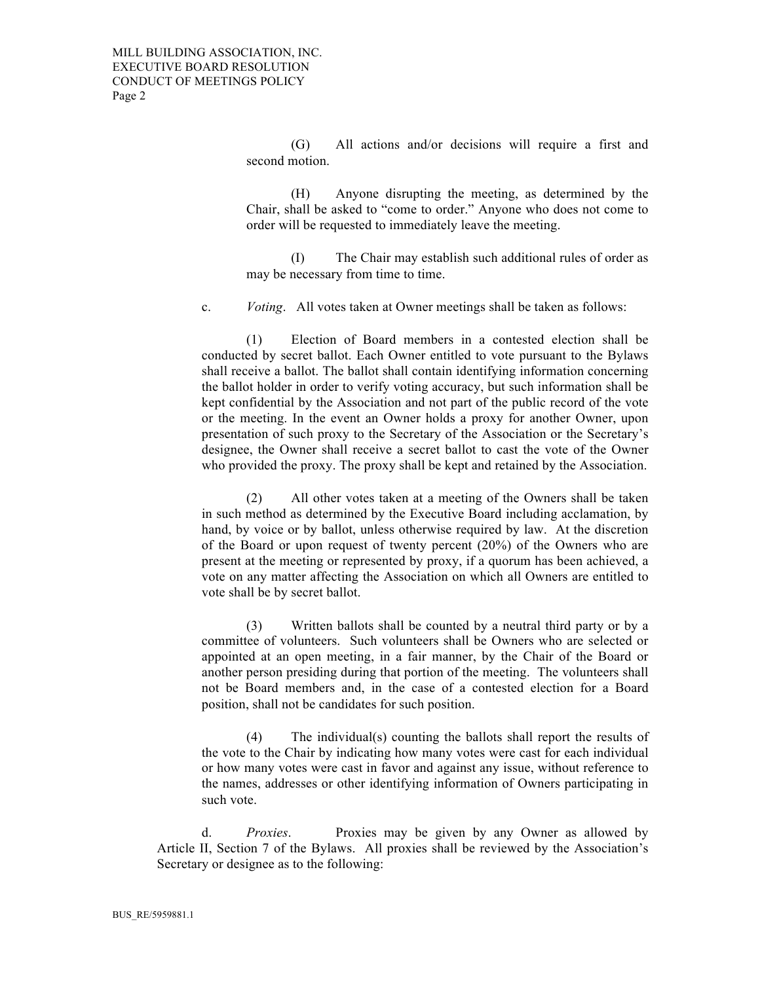(G) All actions and/or decisions will require a first and second motion.

(H) Anyone disrupting the meeting, as determined by the Chair, shall be asked to "come to order." Anyone who does not come to order will be requested to immediately leave the meeting.

(I) The Chair may establish such additional rules of order as may be necessary from time to time.

c. *Voting*.All votes taken at Owner meetings shall be taken as follows:

(1) Election of Board members in a contested election shall be conducted by secret ballot. Each Owner entitled to vote pursuant to the Bylaws shall receive a ballot. The ballot shall contain identifying information concerning the ballot holder in order to verify voting accuracy, but such information shall be kept confidential by the Association and not part of the public record of the vote or the meeting. In the event an Owner holds a proxy for another Owner, upon presentation of such proxy to the Secretary of the Association or the Secretary's designee, the Owner shall receive a secret ballot to cast the vote of the Owner who provided the proxy. The proxy shall be kept and retained by the Association.

(2) All other votes taken at a meeting of the Owners shall be taken in such method as determined by the Executive Board including acclamation, by hand, by voice or by ballot, unless otherwise required by law. At the discretion of the Board or upon request of twenty percent (20%) of the Owners who are present at the meeting or represented by proxy, if a quorum has been achieved, a vote on any matter affecting the Association on which all Owners are entitled to vote shall be by secret ballot.

(3) Written ballots shall be counted by a neutral third party or by a committee of volunteers. Such volunteers shall be Owners who are selected or appointed at an open meeting, in a fair manner, by the Chair of the Board or another person presiding during that portion of the meeting. The volunteers shall not be Board members and, in the case of a contested election for a Board position, shall not be candidates for such position.

(4) The individual(s) counting the ballots shall report the results of the vote to the Chair by indicating how many votes were cast for each individual or how many votes were cast in favor and against any issue, without reference to the names, addresses or other identifying information of Owners participating in such vote.

d. *Proxies*. Proxies may be given by any Owner as allowed by Article II, Section 7 of the Bylaws. All proxies shall be reviewed by the Association's Secretary or designee as to the following: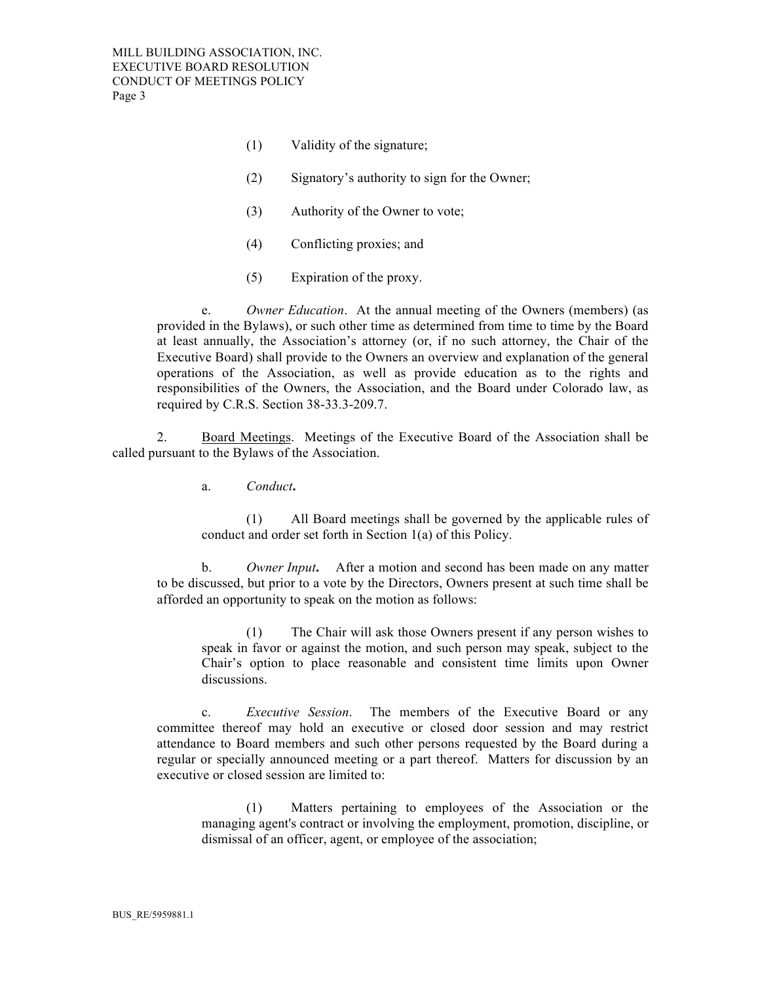- (1) Validity of the signature;
- (2) Signatory's authority to sign for the Owner;
- (3) Authority of the Owner to vote;
- (4) Conflicting proxies; and
- (5) Expiration of the proxy.

e. *Owner Education*. At the annual meeting of the Owners (members) (as provided in the Bylaws), or such other time as determined from time to time by the Board at least annually, the Association's attorney (or, if no such attorney, the Chair of the Executive Board) shall provide to the Owners an overview and explanation of the general operations of the Association, as well as provide education as to the rights and responsibilities of the Owners, the Association, and the Board under Colorado law, as required by C.R.S. Section 38-33.3-209.7.

2. Board Meetings. Meetings of the Executive Board of the Association shall be called pursuant to the Bylaws of the Association.

a. *Conduct***.** 

(1) All Board meetings shall be governed by the applicable rules of conduct and order set forth in Section 1(a) of this Policy.

b. *Owner Input***.** After a motion and second has been made on any matter to be discussed, but prior to a vote by the Directors, Owners present at such time shall be afforded an opportunity to speak on the motion as follows:

(1) The Chair will ask those Owners present if any person wishes to speak in favor or against the motion, and such person may speak, subject to the Chair's option to place reasonable and consistent time limits upon Owner discussions.

c. *Executive Session*. The members of the Executive Board or any committee thereof may hold an executive or closed door session and may restrict attendance to Board members and such other persons requested by the Board during a regular or specially announced meeting or a part thereof. Matters for discussion by an executive or closed session are limited to:

(1) Matters pertaining to employees of the Association or the managing agent's contract or involving the employment, promotion, discipline, or dismissal of an officer, agent, or employee of the association;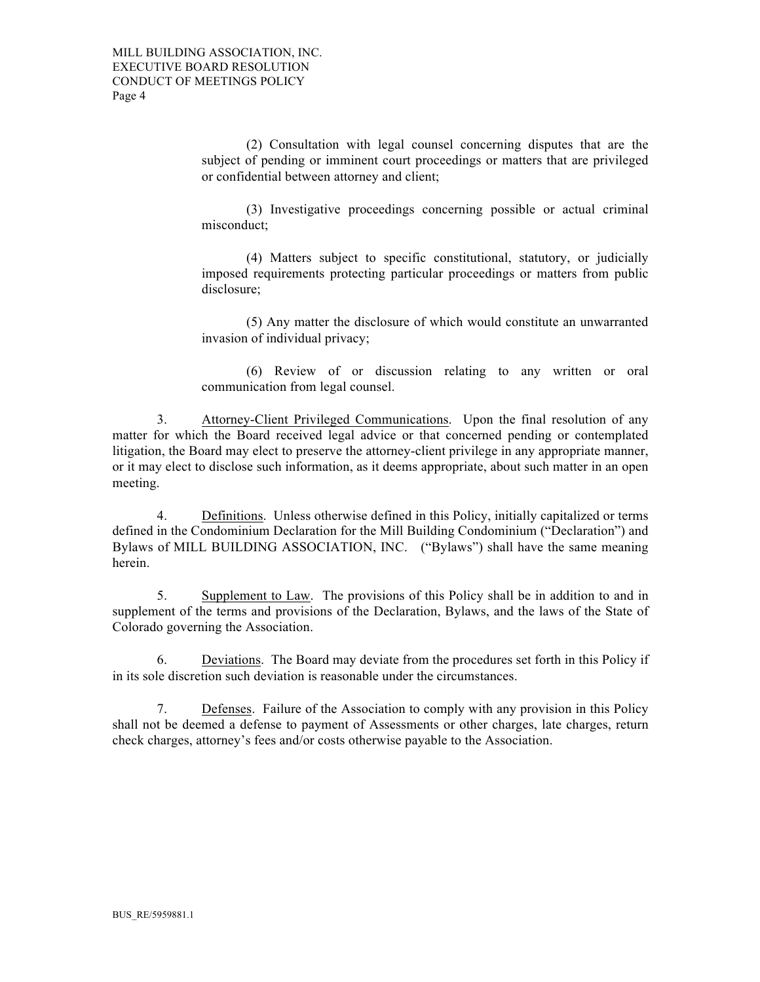(2) Consultation with legal counsel concerning disputes that are the subject of pending or imminent court proceedings or matters that are privileged or confidential between attorney and client;

(3) Investigative proceedings concerning possible or actual criminal misconduct;

(4) Matters subject to specific constitutional, statutory, or judicially imposed requirements protecting particular proceedings or matters from public disclosure;

(5) Any matter the disclosure of which would constitute an unwarranted invasion of individual privacy;

(6) Review of or discussion relating to any written or oral communication from legal counsel.

3. Attorney-Client Privileged Communications. Upon the final resolution of any matter for which the Board received legal advice or that concerned pending or contemplated litigation, the Board may elect to preserve the attorney-client privilege in any appropriate manner, or it may elect to disclose such information, as it deems appropriate, about such matter in an open meeting.

4. Definitions. Unless otherwise defined in this Policy, initially capitalized or terms defined in the Condominium Declaration for the Mill Building Condominium ("Declaration") and Bylaws of MILL BUILDING ASSOCIATION, INC. ("Bylaws") shall have the same meaning herein.

5. Supplement to Law. The provisions of this Policy shall be in addition to and in supplement of the terms and provisions of the Declaration, Bylaws, and the laws of the State of Colorado governing the Association.

6. Deviations. The Board may deviate from the procedures set forth in this Policy if in its sole discretion such deviation is reasonable under the circumstances.

7. Defenses. Failure of the Association to comply with any provision in this Policy shall not be deemed a defense to payment of Assessments or other charges, late charges, return check charges, attorney's fees and/or costs otherwise payable to the Association.